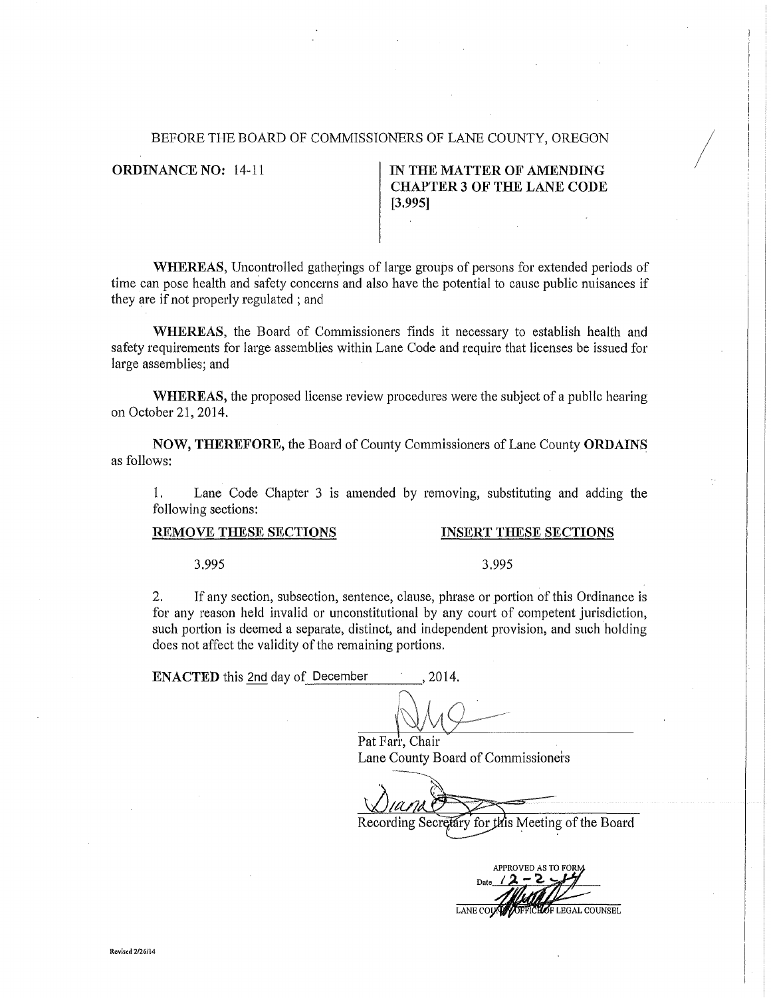### BEFORE THE BOARD OF COMMISSIONERS OF LANE COUNTY, OREGON

**ORDINANCE NO: 14-11** 

## IN THE MATTER OF AMENDING **CHAPTER 3 OF THE LANE CODE**  $[3.995]$

WHEREAS, Uncontrolled gatherings of large groups of persons for extended periods of time can pose health and safety concerns and also have the potential to cause public nuisances if they are if not properly regulated; and

WHEREAS, the Board of Commissioners finds it necessary to establish health and safety requirements for large assemblies within Lane Code and require that licenses be issued for large assemblies; and

**WHEREAS**, the proposed license review procedures were the subject of a public hearing on October 21, 2014.

NOW, THEREFORE, the Board of County Commissioners of Lane County ORDAINS as follows:

1. Lane Code Chapter 3 is amended by removing, substituting and adding the following sections:

### REMOVE THESE SECTIONS

### **INSERT THESE SECTIONS**

3.995

## 3.995

 $2.$ If any section, subsection, sentence, clause, phrase or portion of this Ordinance is for any reason held invalid or unconstitutional by any court of competent jurisdiction, such portion is deemed a separate, distinct, and independent provision, and such holding does not affect the validity of the remaining portions.

**ENACTED** this 2nd day of December 2014.

Pat Farr, Chair Lane County Board of Commissioners

Recording Secretary for this Meeting of the Board

**APPROVED AS TO FOR**  $12 - 2$ Date OF LEGAL COUNSEL **LANE COU**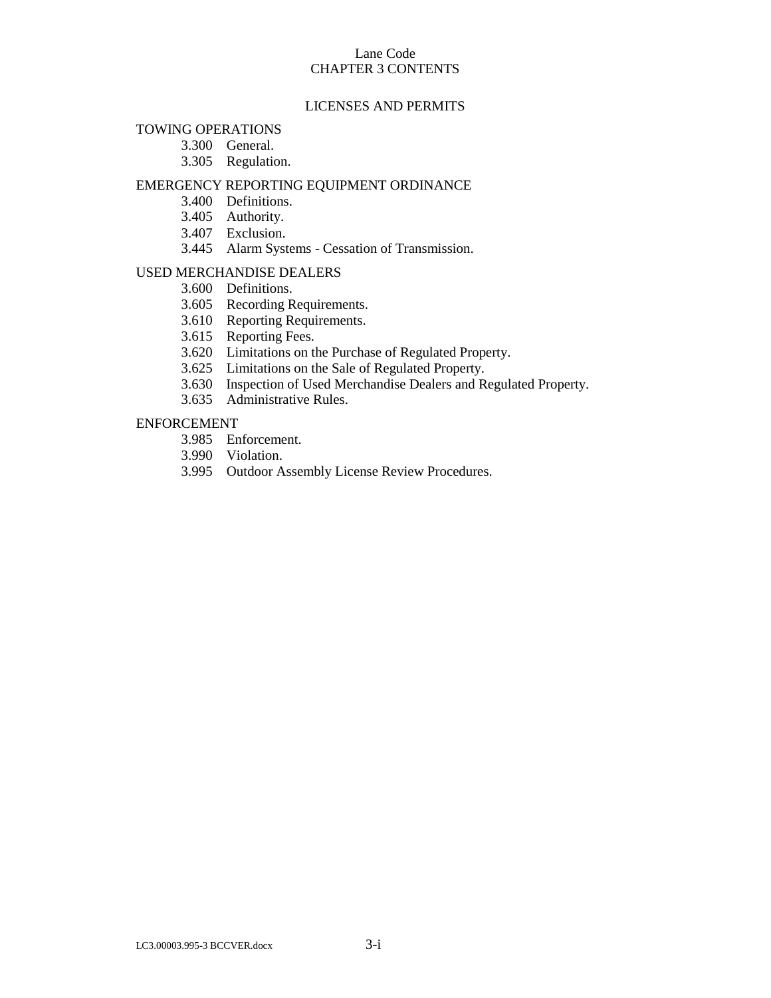# Lane Code CHAPTER 3 CONTENTS

# LICENSES AND PERMITS

## TOWING OPERATIONS

- 3.300 General.
- 3.305 Regulation.

## EMERGENCY REPORTING EQUIPMENT ORDINANCE

- 3.400 Definitions.
- 3.405 Authority.
- 3.407 Exclusion.
- 3.445 Alarm Systems Cessation of Transmission.

## USED MERCHANDISE DEALERS

- 3.600 Definitions.
- 3.605 Recording Requirements.
- 3.610 Reporting Requirements.
- 3.615 Reporting Fees.
- 3.620 Limitations on the Purchase of Regulated Property.
- 3.625 Limitations on the Sale of Regulated Property.
- 3.630 Inspection of Used Merchandise Dealers and Regulated Property.
- 3.635 Administrative Rules.

# ENFORCEMENT

- 3.985 Enforcement.
- 3.990 Violation.
- 3.995 Outdoor Assembly License Review Procedures.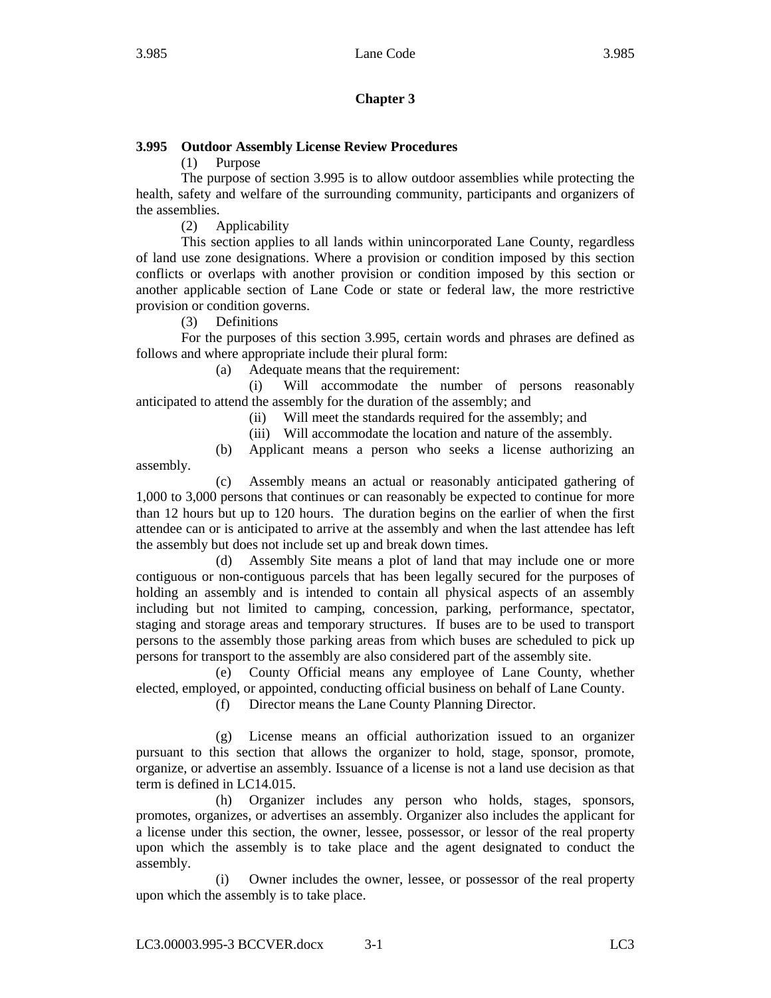# **Chapter 3**

# **3.995 Outdoor Assembly License Review Procedures**

(1) Purpose

The purpose of section 3.995 is to allow outdoor assemblies while protecting the health, safety and welfare of the surrounding community, participants and organizers of the assemblies.

(2) Applicability

This section applies to all lands within unincorporated Lane County, regardless of land use zone designations. Where a provision or condition imposed by this section conflicts or overlaps with another provision or condition imposed by this section or another applicable section of Lane Code or state or federal law, the more restrictive provision or condition governs.

(3) Definitions

For the purposes of this section 3.995, certain words and phrases are defined as follows and where appropriate include their plural form:

(a) Adequate means that the requirement:

(i) Will accommodate the number of persons reasonably anticipated to attend the assembly for the duration of the assembly; and

(ii) Will meet the standards required for the assembly; and

(iii) Will accommodate the location and nature of the assembly.

(b) Applicant means a person who seeks a license authorizing an assembly.

(c) Assembly means an actual or reasonably anticipated gathering of 1,000 to 3,000 persons that continues or can reasonably be expected to continue for more than 12 hours but up to 120 hours. The duration begins on the earlier of when the first attendee can or is anticipated to arrive at the assembly and when the last attendee has left the assembly but does not include set up and break down times.

(d) Assembly Site means a plot of land that may include one or more contiguous or non-contiguous parcels that has been legally secured for the purposes of holding an assembly and is intended to contain all physical aspects of an assembly including but not limited to camping, concession, parking, performance, spectator, staging and storage areas and temporary structures. If buses are to be used to transport persons to the assembly those parking areas from which buses are scheduled to pick up persons for transport to the assembly are also considered part of the assembly site.

(e) County Official means any employee of Lane County, whether elected, employed, or appointed, conducting official business on behalf of Lane County.

(f) Director means the Lane County Planning Director.

(g) License means an official authorization issued to an organizer pursuant to this section that allows the organizer to hold, stage, sponsor, promote, organize, or advertise an assembly. Issuance of a license is not a land use decision as that term is defined in LC14.015.

(h) Organizer includes any person who holds, stages, sponsors, promotes, organizes, or advertises an assembly. Organizer also includes the applicant for a license under this section, the owner, lessee, possessor, or lessor of the real property upon which the assembly is to take place and the agent designated to conduct the assembly.

(i) Owner includes the owner, lessee, or possessor of the real property upon which the assembly is to take place.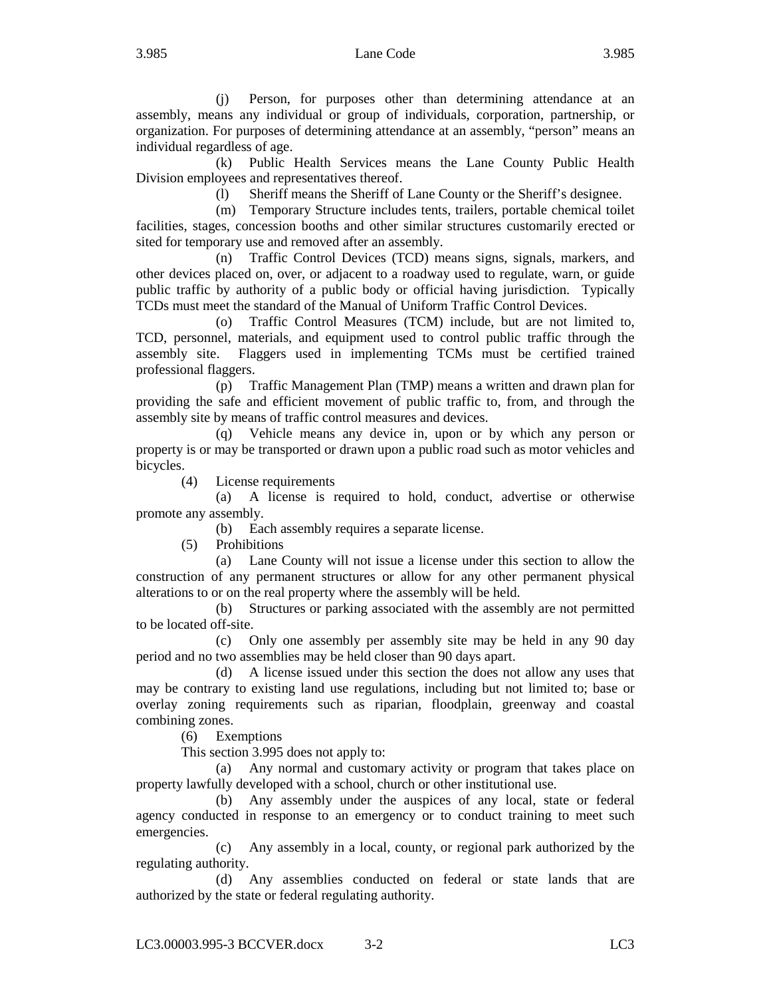## 3.985 Lane Code 3.985

(j) Person, for purposes other than determining attendance at an assembly, means any individual or group of individuals, corporation, partnership, or organization. For purposes of determining attendance at an assembly, "person" means an individual regardless of age.

(k) Public Health Services means the Lane County Public Health Division employees and representatives thereof.

(l) Sheriff means the Sheriff of Lane County or the Sheriff's designee.

(m) Temporary Structure includes tents, trailers, portable chemical toilet facilities, stages, concession booths and other similar structures customarily erected or sited for temporary use and removed after an assembly.

(n) Traffic Control Devices (TCD) means signs, signals, markers, and other devices placed on, over, or adjacent to a roadway used to regulate, warn, or guide public traffic by authority of a public body or official having jurisdiction. Typically TCDs must meet the standard of the Manual of Uniform Traffic Control Devices.

(o) Traffic Control Measures (TCM) include, but are not limited to, TCD, personnel, materials, and equipment used to control public traffic through the assembly site. Flaggers used in implementing TCMs must be certified trained professional flaggers.

(p) Traffic Management Plan (TMP) means a written and drawn plan for providing the safe and efficient movement of public traffic to, from, and through the assembly site by means of traffic control measures and devices.

(q) Vehicle means any device in, upon or by which any person or property is or may be transported or drawn upon a public road such as motor vehicles and bicycles.

(4) License requirements

(a) A license is required to hold, conduct, advertise or otherwise promote any assembly.

(b) Each assembly requires a separate license.

(5) Prohibitions

(a) Lane County will not issue a license under this section to allow the construction of any permanent structures or allow for any other permanent physical alterations to or on the real property where the assembly will be held.

(b) Structures or parking associated with the assembly are not permitted to be located off-site.

(c) Only one assembly per assembly site may be held in any 90 day period and no two assemblies may be held closer than 90 days apart.

(d) A license issued under this section the does not allow any uses that may be contrary to existing land use regulations, including but not limited to; base or overlay zoning requirements such as riparian, floodplain, greenway and coastal combining zones.

(6) Exemptions

This section 3.995 does not apply to:

(a) Any normal and customary activity or program that takes place on property lawfully developed with a school, church or other institutional use.

(b) Any assembly under the auspices of any local, state or federal agency conducted in response to an emergency or to conduct training to meet such emergencies.

(c) Any assembly in a local, county, or regional park authorized by the regulating authority.

(d) Any assemblies conducted on federal or state lands that are authorized by the state or federal regulating authority.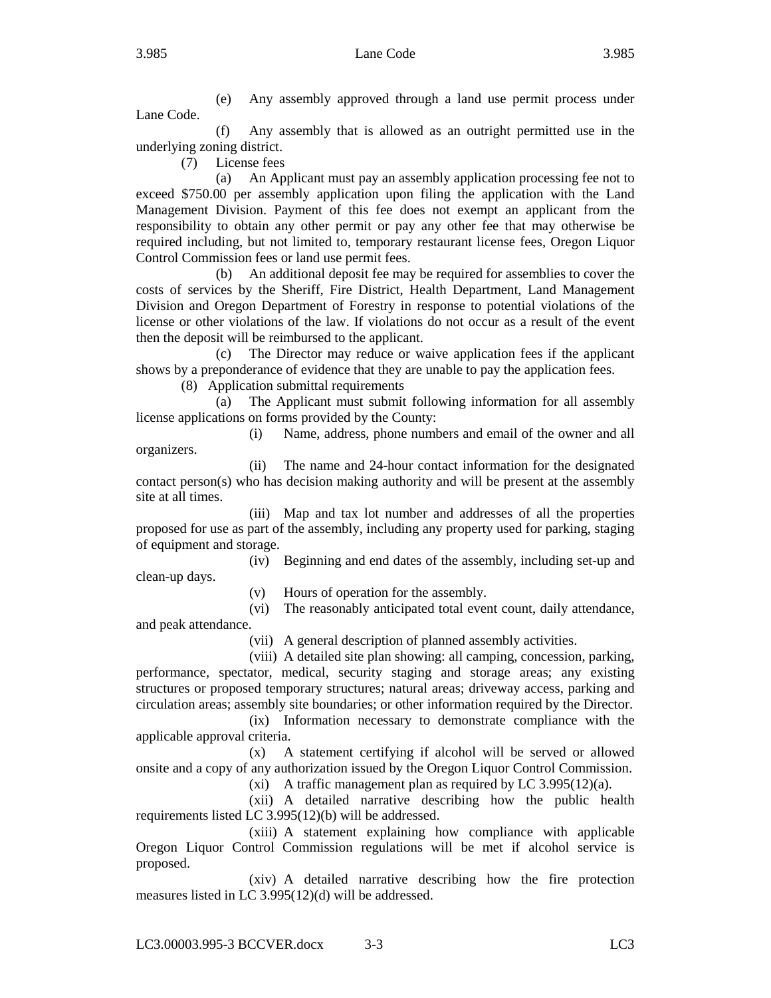# 3.985 Lane Code 3.985

(e) Any assembly approved through a land use permit process under Lane Code.

(f) Any assembly that is allowed as an outright permitted use in the underlying zoning district.

(7) License fees

(a) An Applicant must pay an assembly application processing fee not to exceed \$750.00 per assembly application upon filing the application with the Land Management Division. Payment of this fee does not exempt an applicant from the responsibility to obtain any other permit or pay any other fee that may otherwise be required including, but not limited to, temporary restaurant license fees, Oregon Liquor Control Commission fees or land use permit fees.

(b) An additional deposit fee may be required for assemblies to cover the costs of services by the Sheriff, Fire District, Health Department, Land Management Division and Oregon Department of Forestry in response to potential violations of the license or other violations of the law. If violations do not occur as a result of the event then the deposit will be reimbursed to the applicant.

(c) The Director may reduce or waive application fees if the applicant shows by a preponderance of evidence that they are unable to pay the application fees.

(8) Application submittal requirements

(a) The Applicant must submit following information for all assembly license applications on forms provided by the County:

(i) Name, address, phone numbers and email of the owner and all organizers.

(ii) The name and 24-hour contact information for the designated contact person(s) who has decision making authority and will be present at the assembly site at all times.

(iii) Map and tax lot number and addresses of all the properties proposed for use as part of the assembly, including any property used for parking, staging of equipment and storage.

(iv) Beginning and end dates of the assembly, including set-up and clean-up days.

(v) Hours of operation for the assembly.

(vi) The reasonably anticipated total event count, daily attendance, and peak attendance.

(vii) A general description of planned assembly activities.

(viii) A detailed site plan showing: all camping, concession, parking, performance, spectator, medical, security staging and storage areas; any existing structures or proposed temporary structures; natural areas; driveway access, parking and circulation areas; assembly site boundaries; or other information required by the Director.

(ix) Information necessary to demonstrate compliance with the applicable approval criteria.

(x) A statement certifying if alcohol will be served or allowed onsite and a copy of any authorization issued by the Oregon Liquor Control Commission.

(xi) A traffic management plan as required by LC 3.995(12)(a).

(xii) A detailed narrative describing how the public health requirements listed LC 3.995(12)(b) will be addressed.

(xiii) A statement explaining how compliance with applicable Oregon Liquor Control Commission regulations will be met if alcohol service is proposed.

(xiv) A detailed narrative describing how the fire protection measures listed in LC 3.995(12)(d) will be addressed.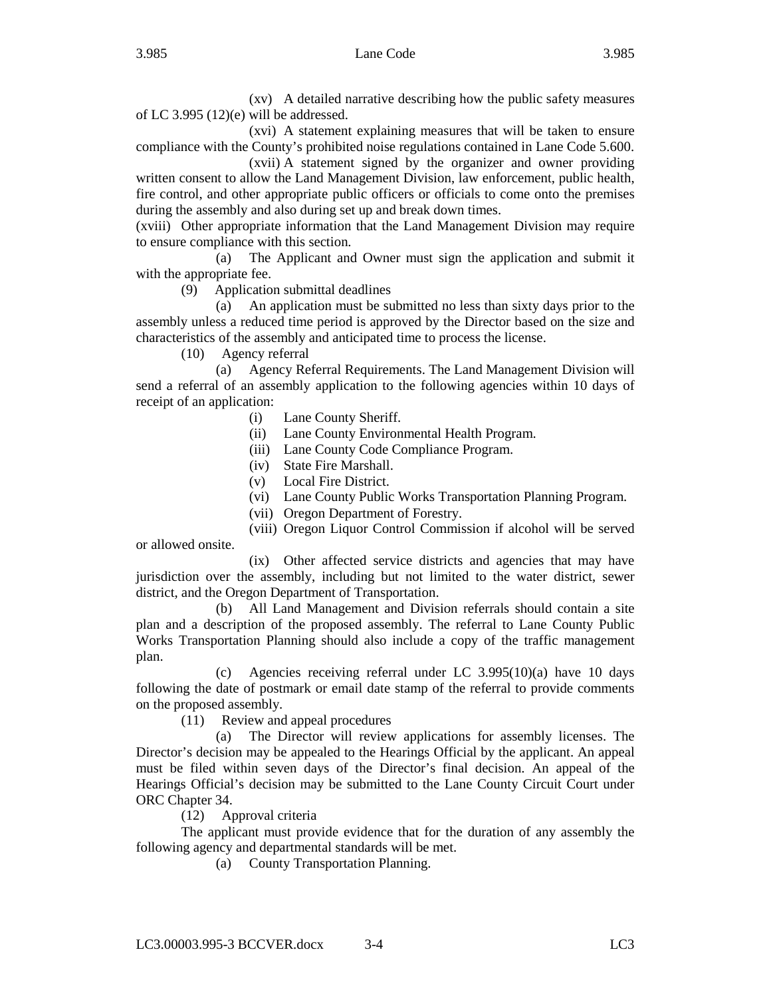(xv) A detailed narrative describing how the public safety measures of LC 3.995 (12)(e) will be addressed.

(xvi) A statement explaining measures that will be taken to ensure compliance with the County's prohibited noise regulations contained in Lane Code 5.600.

(xvii) A statement signed by the organizer and owner providing written consent to allow the Land Management Division, law enforcement, public health, fire control, and other appropriate public officers or officials to come onto the premises during the assembly and also during set up and break down times.

(xviii) Other appropriate information that the Land Management Division may require to ensure compliance with this section.

(a) The Applicant and Owner must sign the application and submit it with the appropriate fee.

(9) Application submittal deadlines

(a) An application must be submitted no less than sixty days prior to the assembly unless a reduced time period is approved by the Director based on the size and characteristics of the assembly and anticipated time to process the license.

(10) Agency referral

(a) Agency Referral Requirements. The Land Management Division will send a referral of an assembly application to the following agencies within 10 days of receipt of an application:

(i) Lane County Sheriff.

(ii) Lane County Environmental Health Program.

- (iii) Lane County Code Compliance Program.
- (iv) State Fire Marshall.
- (v) Local Fire District.
- (vi) Lane County Public Works Transportation Planning Program.
- (vii) Oregon Department of Forestry.

(viii) Oregon Liquor Control Commission if alcohol will be served

or allowed onsite.

(ix) Other affected service districts and agencies that may have jurisdiction over the assembly, including but not limited to the water district, sewer district, and the Oregon Department of Transportation.

(b) All Land Management and Division referrals should contain a site plan and a description of the proposed assembly. The referral to Lane County Public Works Transportation Planning should also include a copy of the traffic management plan.

(c) Agencies receiving referral under LC 3.995(10)(a) have 10 days following the date of postmark or email date stamp of the referral to provide comments on the proposed assembly.

(11) Review and appeal procedures

(a) The Director will review applications for assembly licenses. The Director's decision may be appealed to the Hearings Official by the applicant. An appeal must be filed within seven days of the Director's final decision. An appeal of the Hearings Official's decision may be submitted to the Lane County Circuit Court under ORC Chapter 34.

(12) Approval criteria

The applicant must provide evidence that for the duration of any assembly the following agency and departmental standards will be met.

(a) County Transportation Planning.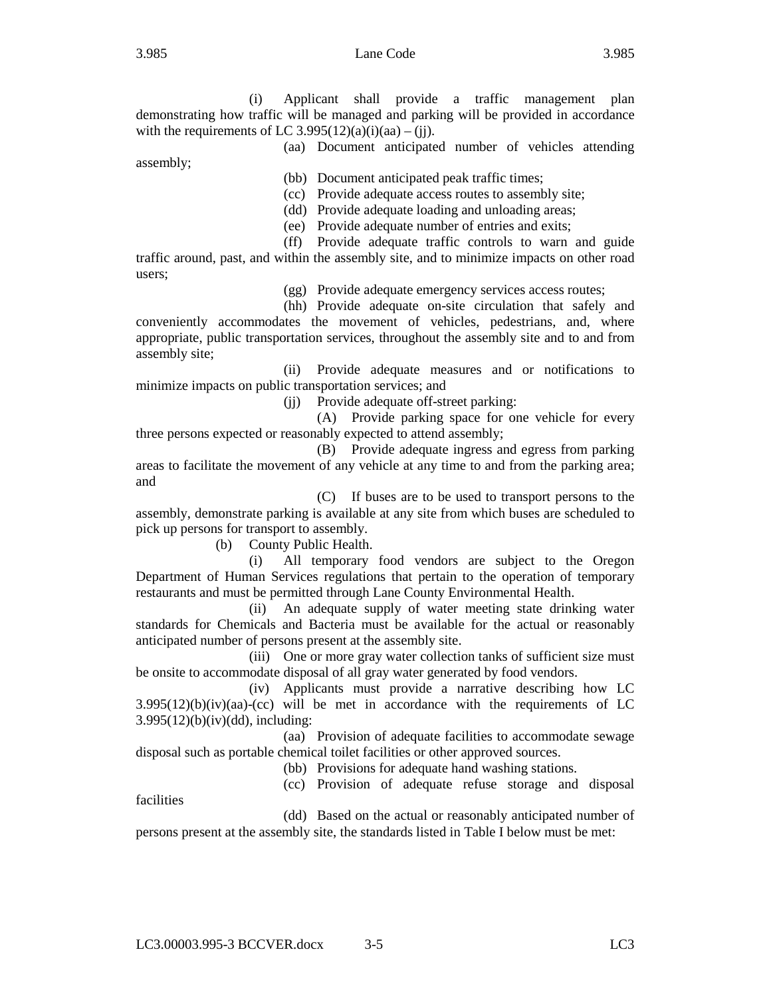## 3.985 Lane Code 3.985

assembly;

(i) Applicant shall provide a traffic management plan demonstrating how traffic will be managed and parking will be provided in accordance with the requirements of LC 3.995(12)(a)(i)(aa) – (jj).

(aa) Document anticipated number of vehicles attending

(bb) Document anticipated peak traffic times;

(cc) Provide adequate access routes to assembly site;

(dd) Provide adequate loading and unloading areas;

(ee) Provide adequate number of entries and exits;

(ff) Provide adequate traffic controls to warn and guide traffic around, past, and within the assembly site, and to minimize impacts on other road users;

(gg) Provide adequate emergency services access routes;

(hh) Provide adequate on-site circulation that safely and conveniently accommodates the movement of vehicles, pedestrians, and, where appropriate, public transportation services, throughout the assembly site and to and from assembly site;

(ii) Provide adequate measures and or notifications to minimize impacts on public transportation services; and

(jj) Provide adequate off-street parking:

(A) Provide parking space for one vehicle for every three persons expected or reasonably expected to attend assembly;

(B) Provide adequate ingress and egress from parking areas to facilitate the movement of any vehicle at any time to and from the parking area; and

(C) If buses are to be used to transport persons to the assembly, demonstrate parking is available at any site from which buses are scheduled to pick up persons for transport to assembly.

(b) County Public Health.

(i) All temporary food vendors are subject to the Oregon Department of Human Services regulations that pertain to the operation of temporary restaurants and must be permitted through Lane County Environmental Health.

(ii) An adequate supply of water meeting state drinking water standards for Chemicals and Bacteria must be available for the actual or reasonably anticipated number of persons present at the assembly site.

(iii) One or more gray water collection tanks of sufficient size must be onsite to accommodate disposal of all gray water generated by food vendors.

(iv) Applicants must provide a narrative describing how LC  $3.995(12)(b)(iv)(aa)-(cc)$  will be met in accordance with the requirements of LC  $3.995(12)(b)(iv)(dd)$ , including:

(aa) Provision of adequate facilities to accommodate sewage disposal such as portable chemical toilet facilities or other approved sources.

(bb) Provisions for adequate hand washing stations.

(cc) Provision of adequate refuse storage and disposal

facilities

(dd) Based on the actual or reasonably anticipated number of persons present at the assembly site, the standards listed in Table I below must be met: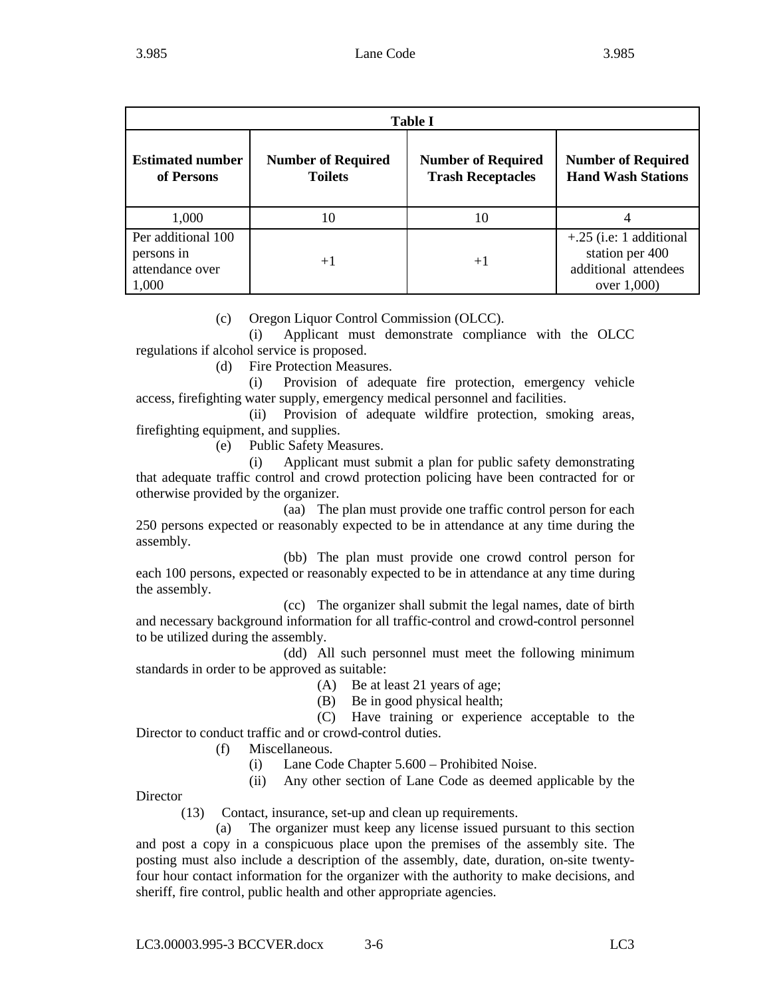| <b>Table I</b>                                               |                                             |                                                       |                                                                                     |  |  |  |
|--------------------------------------------------------------|---------------------------------------------|-------------------------------------------------------|-------------------------------------------------------------------------------------|--|--|--|
| <b>Estimated number</b><br>of Persons                        | <b>Number of Required</b><br><b>Toilets</b> | <b>Number of Required</b><br><b>Trash Receptacles</b> | <b>Number of Required</b><br><b>Hand Wash Stations</b>                              |  |  |  |
| 1,000                                                        | 10                                          | 10                                                    |                                                                                     |  |  |  |
| Per additional 100<br>persons in<br>attendance over<br>1,000 | $+1$                                        | $+1$                                                  | $+.25$ (i.e: 1 additional<br>station per 400<br>additional attendees<br>over 1,000) |  |  |  |

(c) Oregon Liquor Control Commission (OLCC).

(i) Applicant must demonstrate compliance with the OLCC regulations if alcohol service is proposed.

(d) Fire Protection Measures.

(i) Provision of adequate fire protection, emergency vehicle access, firefighting water supply, emergency medical personnel and facilities.

(ii) Provision of adequate wildfire protection, smoking areas, firefighting equipment, and supplies.

(e) Public Safety Measures.

(i) Applicant must submit a plan for public safety demonstrating that adequate traffic control and crowd protection policing have been contracted for or otherwise provided by the organizer.

(aa) The plan must provide one traffic control person for each 250 persons expected or reasonably expected to be in attendance at any time during the assembly.

(bb) The plan must provide one crowd control person for each 100 persons, expected or reasonably expected to be in attendance at any time during the assembly.

(cc) The organizer shall submit the legal names, date of birth and necessary background information for all traffic-control and crowd-control personnel to be utilized during the assembly.

(dd) All such personnel must meet the following minimum standards in order to be approved as suitable:

(A) Be at least 21 years of age;

(B) Be in good physical health;

(C) Have training or experience acceptable to the Director to conduct traffic and or crowd-control duties.

- (f) Miscellaneous.
	- (i) Lane Code Chapter 5.600 Prohibited Noise.
	- (ii) Any other section of Lane Code as deemed applicable by the

**Director** 

(13) Contact, insurance, set-up and clean up requirements.

(a) The organizer must keep any license issued pursuant to this section and post a copy in a conspicuous place upon the premises of the assembly site. The posting must also include a description of the assembly, date, duration, on-site twentyfour hour contact information for the organizer with the authority to make decisions, and sheriff, fire control, public health and other appropriate agencies.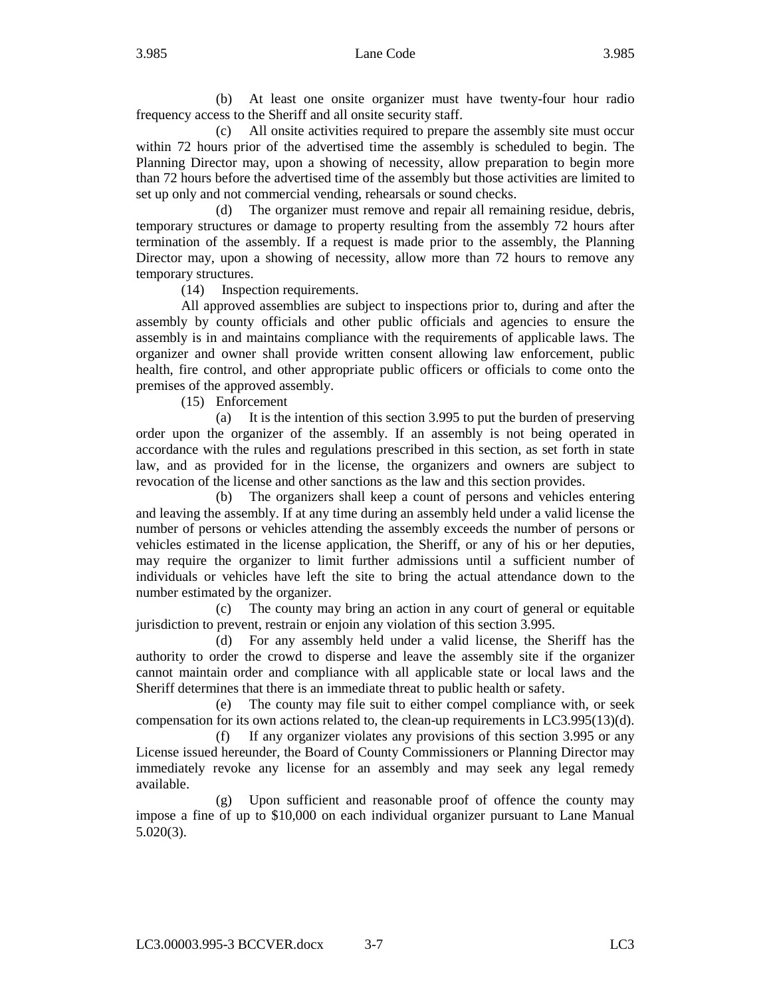(b) At least one onsite organizer must have twenty-four hour radio frequency access to the Sheriff and all onsite security staff.

(c) All onsite activities required to prepare the assembly site must occur within 72 hours prior of the advertised time the assembly is scheduled to begin. The Planning Director may, upon a showing of necessity, allow preparation to begin more than 72 hours before the advertised time of the assembly but those activities are limited to set up only and not commercial vending, rehearsals or sound checks.

(d) The organizer must remove and repair all remaining residue, debris, temporary structures or damage to property resulting from the assembly 72 hours after termination of the assembly. If a request is made prior to the assembly, the Planning Director may, upon a showing of necessity, allow more than 72 hours to remove any temporary structures.

(14) Inspection requirements.

All approved assemblies are subject to inspections prior to, during and after the assembly by county officials and other public officials and agencies to ensure the assembly is in and maintains compliance with the requirements of applicable laws. The organizer and owner shall provide written consent allowing law enforcement, public health, fire control, and other appropriate public officers or officials to come onto the premises of the approved assembly.

(15) Enforcement

(a) It is the intention of this section 3.995 to put the burden of preserving order upon the organizer of the assembly. If an assembly is not being operated in accordance with the rules and regulations prescribed in this section, as set forth in state law, and as provided for in the license, the organizers and owners are subject to revocation of the license and other sanctions as the law and this section provides.

(b) The organizers shall keep a count of persons and vehicles entering and leaving the assembly. If at any time during an assembly held under a valid license the number of persons or vehicles attending the assembly exceeds the number of persons or vehicles estimated in the license application, the Sheriff, or any of his or her deputies, may require the organizer to limit further admissions until a sufficient number of individuals or vehicles have left the site to bring the actual attendance down to the number estimated by the organizer.

(c) The county may bring an action in any court of general or equitable jurisdiction to prevent, restrain or enjoin any violation of this section 3.995.

(d) For any assembly held under a valid license, the Sheriff has the authority to order the crowd to disperse and leave the assembly site if the organizer cannot maintain order and compliance with all applicable state or local laws and the Sheriff determines that there is an immediate threat to public health or safety.

(e) The county may file suit to either compel compliance with, or seek compensation for its own actions related to, the clean-up requirements in LC3.995(13)(d).

(f) If any organizer violates any provisions of this section 3.995 or any License issued hereunder, the Board of County Commissioners or Planning Director may immediately revoke any license for an assembly and may seek any legal remedy available.

(g) Upon sufficient and reasonable proof of offence the county may impose a fine of up to \$10,000 on each individual organizer pursuant to Lane Manual 5.020(3).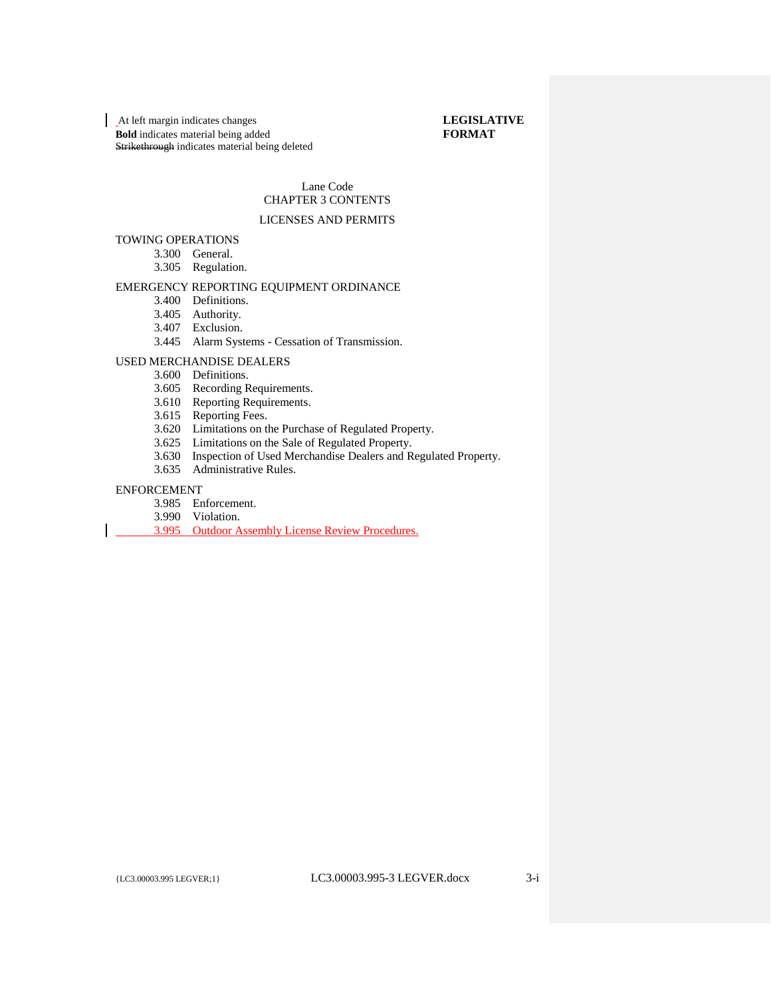# Lane Code CHAPTER 3 CONTENTS

### LICENSES AND PERMITS

### TOWING OPERATIONS

- 3.300 General.
- 3.305 Regulation.

### EMERGENCY REPORTING EQUIPMENT ORDINANCE

- 3.400 Definitions.
	- 3.405 Authority.
	- 3.407 Exclusion.
	- 3.445 Alarm Systems Cessation of Transmission.

### USED MERCHANDISE DEALERS

- 3.600 Definitions.
- 3.605 Recording Requirements.
- 3.610 Reporting Requirements.
- 3.615 Reporting Fees.
- 3.620 Limitations on the Purchase of Regulated Property.
- 3.625 Limitations on the Sale of Regulated Property.
- 3.630 Inspection of Used Merchandise Dealers and Regulated Property.
- 3.635 Administrative Rules.

#### ENFORCEMENT

- 3.985 Enforcement.
- 3.990 Violation.
- 3.995 Outdoor Assembly License Review Procedures.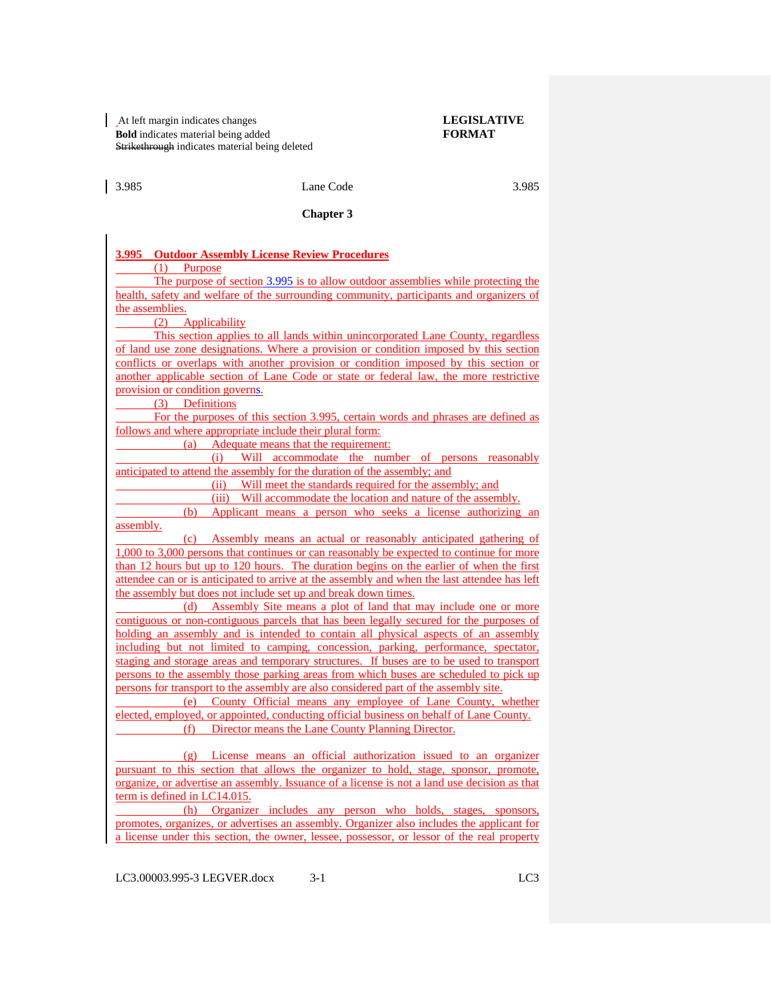### | 3.985 Lane Code 3.985 3.985

#### **Chapter 3**

#### **3.995 Outdoor Assembly License Review Procedures**

(1) Purpose

The purpose of section 3.995 is to allow outdoor assemblies while protecting the health, safety and welfare of the surrounding community, participants and organizers of the assemblies.

(2) Applicability

This section applies to all lands within unincorporated Lane County, regardless of land use zone designations. Where a provision or condition imposed by this section conflicts or overlaps with another provision or condition imposed by this section or another applicable section of Lane Code or state or federal law, the more restrictive provision or condition governs.

(3) Definitions

For the purposes of this section 3.995, certain words and phrases are defined as follows and where appropriate include their plural form:

(a) Adequate means that the requirement:

(i) Will accommodate the number of persons reasonably anticipated to attend the assembly for the duration of the assembly; and

(ii) Will meet the standards required for the assembly; and

(iii) Will accommodate the location and nature of the assembly.

(b) Applicant means a person who seeks a license authorizing an assembly.

(c) Assembly means an actual or reasonably anticipated gathering of 1,000 to 3,000 persons that continues or can reasonably be expected to continue for more than 12 hours but up to 120 hours. The duration begins on the earlier of when the first attendee can or is anticipated to arrive at the assembly and when the last attendee has left the assembly but does not include set up and break down times.

(d) Assembly Site means a plot of land that may include one or more contiguous or non-contiguous parcels that has been legally secured for the purposes of holding an assembly and is intended to contain all physical aspects of an assembly including but not limited to camping, concession, parking, performance, spectator, staging and storage areas and temporary structures. If buses are to be used to transport persons to the assembly those parking areas from which buses are scheduled to pick up persons for transport to the assembly are also considered part of the assembly site.

(e) County Official means any employee of Lane County, whether elected, employed, or appointed, conducting official business on behalf of Lane County. (f) Director means the Lane County Planning Director.

(g) License means an official authorization issued to an organizer pursuant to this section that allows the organizer to hold, stage, sponsor, promote, organize, or advertise an assembly. Issuance of a license is not a land use decision as that term is defined in LC14.015.

(h) Organizer includes any person who holds, stages, sponsors, promotes, organizes, or advertises an assembly. Organizer also includes the applicant for a license under this section, the owner, lessee, possessor, or lessor of the real property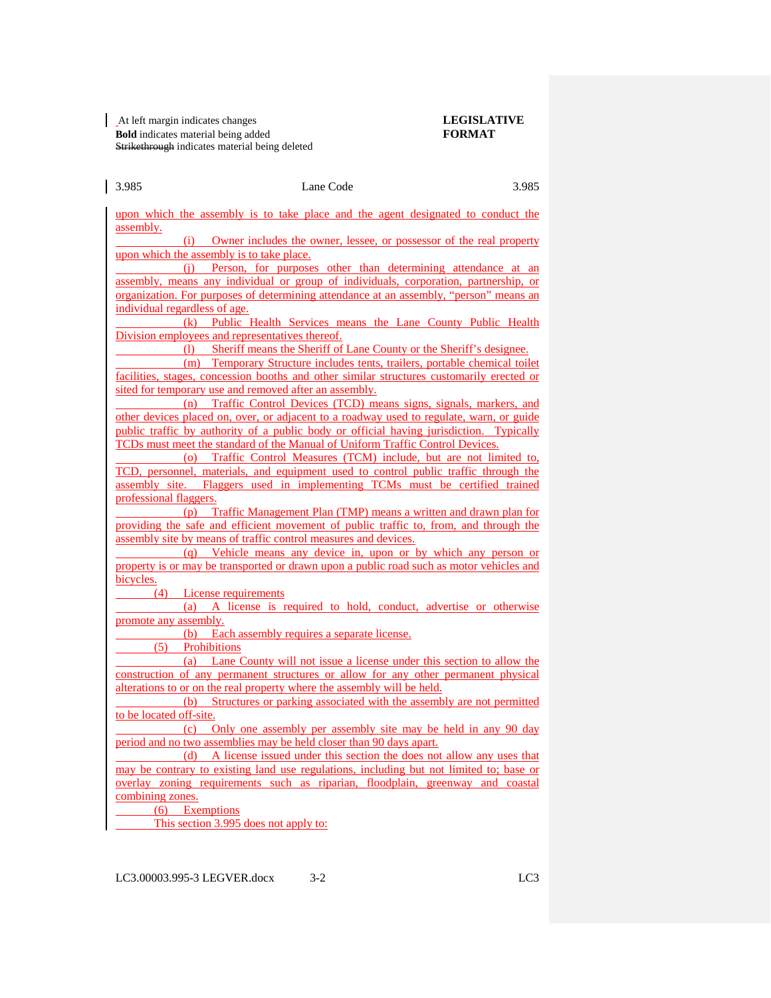upon which the assembly is to take place and the agent designated to conduct the assembly.

(i) Owner includes the owner, lessee, or possessor of the real property upon which the assembly is to take place.

(j) Person, for purposes other than determining attendance at an assembly, means any individual or group of individuals, corporation, partnership, or organization. For purposes of determining attendance at an assembly, "person" means an individual regardless of age.

(k) Public Health Services means the Lane County Public Health Division employees and representatives thereof.

(l) Sheriff means the Sheriff of Lane County or the Sheriff's designee.

(m) Temporary Structure includes tents, trailers, portable chemical toilet facilities, stages, concession booths and other similar structures customarily erected or sited for temporary use and removed after an assembly.

(n) Traffic Control Devices (TCD) means signs, signals, markers, and other devices placed on, over, or adjacent to a roadway used to regulate, warn, or guide public traffic by authority of a public body or official having jurisdiction. Typically TCDs must meet the standard of the Manual of Uniform Traffic Control Devices.

(o) Traffic Control Measures (TCM) include, but are not limited to, TCD, personnel, materials, and equipment used to control public traffic through the assembly site. Flaggers used in implementing TCMs must be certified trained professional flaggers.

(p) Traffic Management Plan (TMP) means a written and drawn plan for providing the safe and efficient movement of public traffic to, from, and through the assembly site by means of traffic control measures and devices.

(q) Vehicle means any device in, upon or by which any person or property is or may be transported or drawn upon a public road such as motor vehicles and bicycles.

(4) License requirements

(a) A license is required to hold, conduct, advertise or otherwise promote any assembly.

(b) Each assembly requires a separate license.

(5) Prohibitions

(a) Lane County will not issue a license under this section to allow the construction of any permanent structures or allow for any other permanent physical alterations to or on the real property where the assembly will be held.

(b) Structures or parking associated with the assembly are not permitted to be located off-site.

(c) Only one assembly per assembly site may be held in any 90 day period and no two assemblies may be held closer than 90 days apart.

(d) A license issued under this section the does not allow any uses that may be contrary to existing land use regulations, including but not limited to; base or overlay zoning requirements such as riparian, floodplain, greenway and coastal combining zones.

(6) Exemptions

This section 3.995 does not apply to: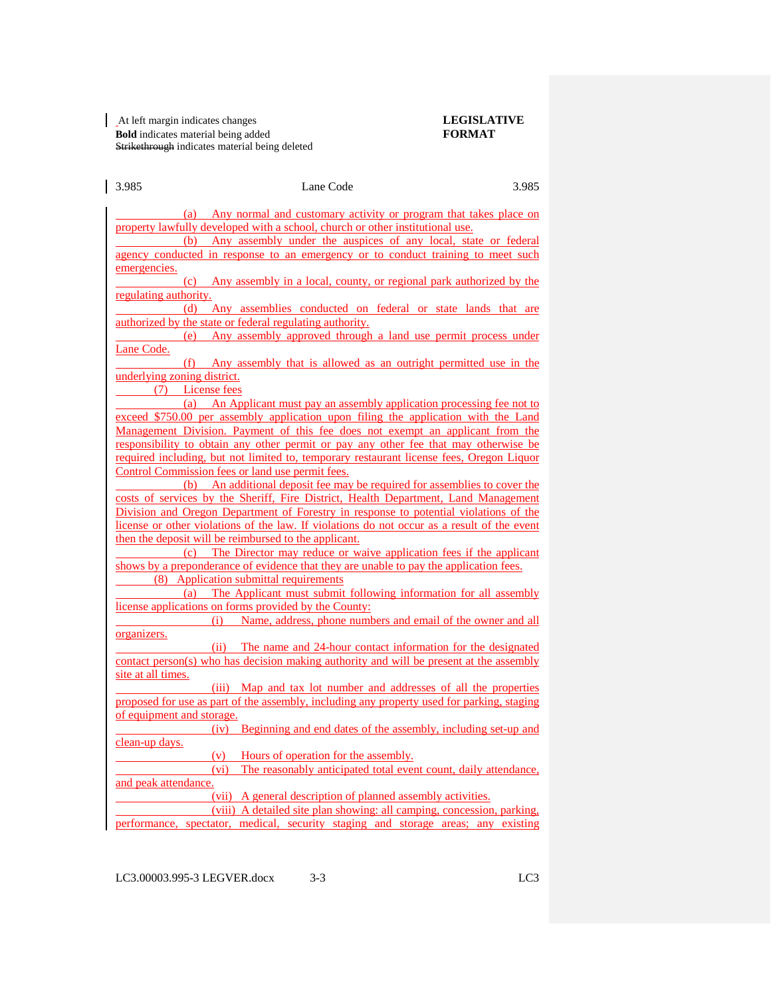(a) Any normal and customary activity or program that takes place on property lawfully developed with a school, church or other institutional use. (b) Any assembly under the auspices of any local, state or federal agency conducted in response to an emergency or to conduct training to meet such emergencies. (c) Any assembly in a local, county, or regional park authorized by the regulating authority. (d) Any assemblies conducted on federal or state lands that are authorized by the state or federal regulating authority. (e) Any assembly approved through a land use permit process under Lane Code. (f) Any assembly that is allowed as an outright permitted use in the underlying zoning district. (7) License fees (a) An Applicant must pay an assembly application processing fee not to exceed \$750.00 per assembly application upon filing the application with the Land Management Division. Payment of this fee does not exempt an applicant from the responsibility to obtain any other permit or pay any other fee that may otherwise be required including, but not limited to, temporary restaurant license fees, Oregon Liquor Control Commission fees or land use permit fees. (b) An additional deposit fee may be required for assemblies to cover the costs of services by the Sheriff, Fire District, Health Department, Land Management Division and Oregon Department of Forestry in response to potential violations of the license or other violations of the law. If violations do not occur as a result of the event then the deposit will be reimbursed to the applicant. (c) The Director may reduce or waive application fees if the applicant shows by a preponderance of evidence that they are unable to pay the application fees. (8) Application submittal requirements (a) The Applicant must submit following information for all assembly license applications on forms provided by the County: (i) Name, address, phone numbers and email of the owner and all organizers. (ii) The name and 24-hour contact information for the designated contact person(s) who has decision making authority and will be present at the assembly site at all times. (iii) Map and tax lot number and addresses of all the properties proposed for use as part of the assembly, including any property used for parking, staging of equipment and storage. (iv) Beginning and end dates of the assembly, including set-up and clean-up days. (v) Hours of operation for the assembly. (vi) The reasonably anticipated total event count, daily attendance, and peak attendance. (vii) A general description of planned assembly activities. (viii) A detailed site plan showing: all camping, concession, parking,

3.985 Lane Code 3.985

performance, spectator, medical, security staging and storage areas; any existing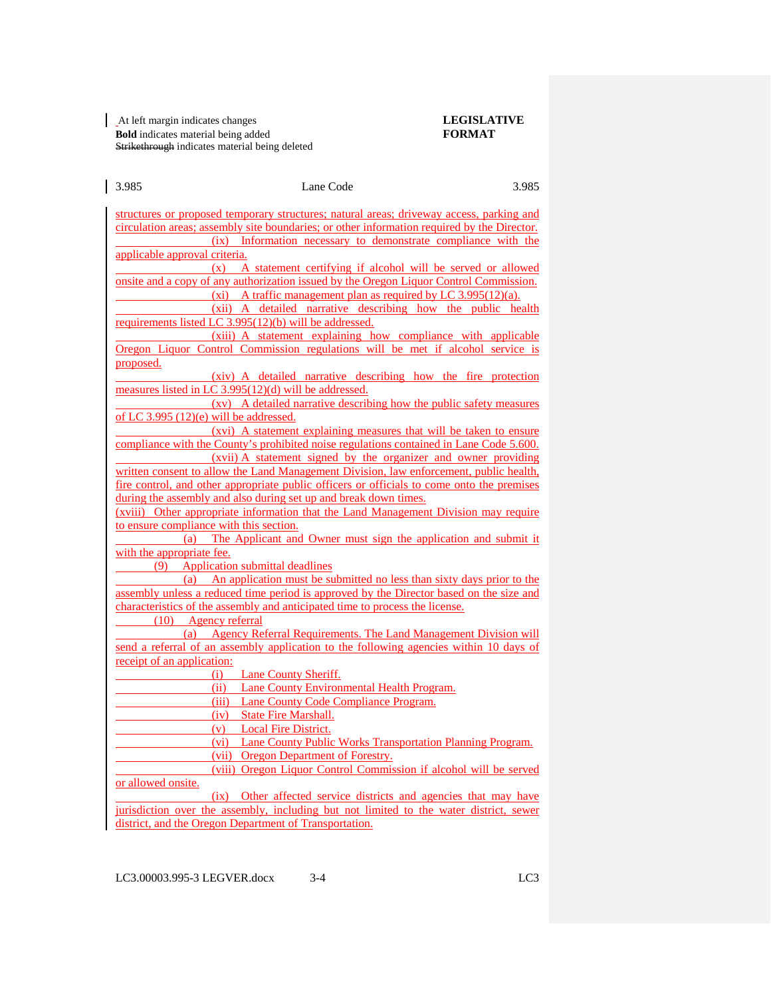3.985 Lane Code 3.985 structures or proposed temporary structures; natural areas; driveway access, parking and circulation areas; assembly site boundaries; or other information required by the Director. (ix) Information necessary to demonstrate compliance with the applicable approval criteria. (x) A statement certifying if alcohol will be served or allowed onsite and a copy of any authorization issued by the Oregon Liquor Control Commission. (xi) A traffic management plan as required by LC  $3.995(12)(a)$ . (xii) A detailed narrative describing how the public health requirements listed LC 3.995(12)(b) will be addressed. (xiii) A statement explaining how compliance with applicable Oregon Liquor Control Commission regulations will be met if alcohol service is proposed. (xiv) A detailed narrative describing how the fire protection measures listed in LC 3.995(12)(d) will be addressed. (xv) A detailed narrative describing how the public safety measures of LC 3.995  $(12)(e)$  will be addressed. (xvi) A statement explaining measures that will be taken to ensure compliance with the County's prohibited noise regulations contained in Lane Code 5.600. (xvii) A statement signed by the organizer and owner providing written consent to allow the Land Management Division, law enforcement, public health, fire control, and other appropriate public officers or officials to come onto the premises during the assembly and also during set up and break down times. (xviii) Other appropriate information that the Land Management Division may require to ensure compliance with this section. (a) The Applicant and Owner must sign the application and submit it with the appropriate fee. (9) Application submittal deadlines (a) An application must be submitted no less than sixty days prior to the assembly unless a reduced time period is approved by the Director based on the size and characteristics of the assembly and anticipated time to process the license. (10) Agency referral (a) Agency Referral Requirements. The Land Management Division will send a referral of an assembly application to the following agencies within 10 days of receipt of an application: (i) Lane County Sheriff. (ii) Lane County Environmental Health Program. (iii) Lane County Code Compliance Program. (iv) State Fire Marshall. (v) Local Fire District. (vi) Lane County Public Works Transportation Planning Program. (vii) Oregon Department of Forestry. (viii) Oregon Liquor Control Commission if alcohol will be served or allowed onsite. (ix) Other affected service districts and agencies that may have jurisdiction over the assembly, including but not limited to the water district, sewer district, and the Oregon Department of Transportation.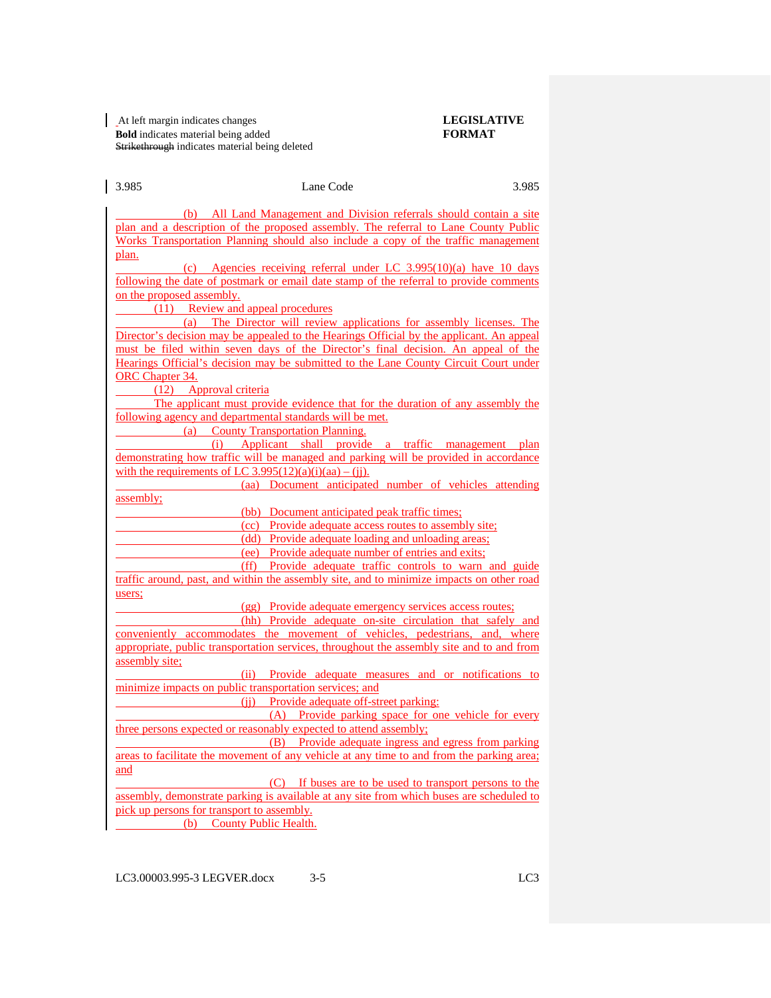3.985 Lane Code 3.985 (b) All Land Management and Division referrals should contain a site plan and a description of the proposed assembly. The referral to Lane County Public Works Transportation Planning should also include a copy of the traffic management plan. (c) Agencies receiving referral under LC 3.995(10)(a) have 10 days following the date of postmark or email date stamp of the referral to provide comments on the proposed assembly. (11) Review and appeal procedures (a) The Director will review applications for assembly licenses. The Director's decision may be appealed to the Hearings Official by the applicant. An appeal must be filed within seven days of the Director's final decision. An appeal of the Hearings Official's decision may be submitted to the Lane County Circuit Court under ORC Chapter 34. (12) Approval criteria The applicant must provide evidence that for the duration of any assembly the following agency and departmental standards will be met. (a) County Transportation Planning. (i) Applicant shall provide a traffic management plan demonstrating how traffic will be managed and parking will be provided in accordance with the requirements of LC 3.995(12)(a)(i)(aa) – (jj). (aa) Document anticipated number of vehicles attending assembly; (bb) Document anticipated peak traffic times; (cc) Provide adequate access routes to assembly site; (dd) Provide adequate loading and unloading areas; (ee) Provide adequate number of entries and exits; (ff) Provide adequate traffic controls to warn and guide traffic around, past, and within the assembly site, and to minimize impacts on other road users; (gg) Provide adequate emergency services access routes; (hh) Provide adequate on-site circulation that safely and conveniently accommodates the movement of vehicles, pedestrians, and, where appropriate, public transportation services, throughout the assembly site and to and from assembly site; (ii) Provide adequate measures and or notifications to minimize impacts on public transportation services; and (jj) Provide adequate off-street parking: (A) Provide parking space for one vehicle for every three persons expected or reasonably expected to attend assembly; (B) Provide adequate ingress and egress from parking areas to facilitate the movement of any vehicle at any time to and from the parking area; and (C) If buses are to be used to transport persons to the assembly, demonstrate parking is available at any site from which buses are scheduled to pick up persons for transport to assembly. (b) County Public Health.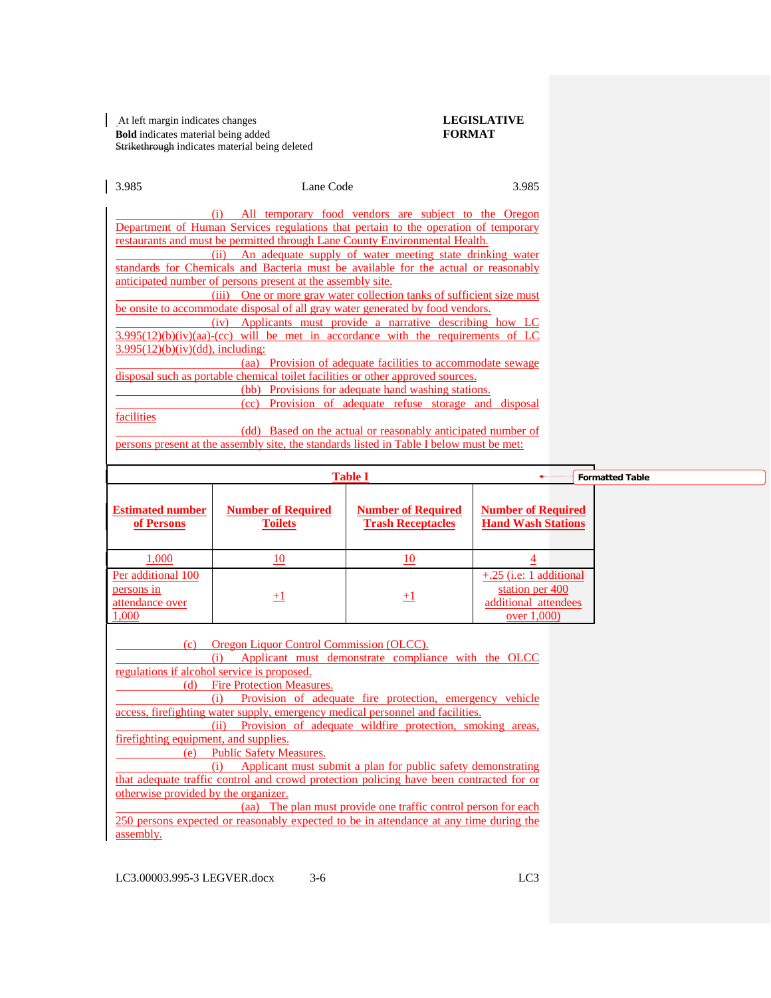At left margin indicates changes **LEGISLATIVE Bold** indicates material being added **FORMAT** Strikethrough indicates material being deleted

| 3.985                                                                                                                                                                                                                                                                                        | Lane Code                                   |                                                       | 3.985                                                                              |                        |  |
|----------------------------------------------------------------------------------------------------------------------------------------------------------------------------------------------------------------------------------------------------------------------------------------------|---------------------------------------------|-------------------------------------------------------|------------------------------------------------------------------------------------|------------------------|--|
| (i) All temporary food vendors are subject to the Oregon<br>Department of Human Services regulations that pertain to the operation of temporary<br>restaurants and must be permitted through Lane County Environmental Health.                                                               |                                             |                                                       |                                                                                    |                        |  |
| (ii) An adequate supply of water meeting state drinking water<br>standards for Chemicals and Bacteria must be available for the actual or reasonably<br>anticipated number of persons present at the assembly site.<br>(iii) One or more gray water collection tanks of sufficient size must |                                             |                                                       |                                                                                    |                        |  |
| be onsite to accommodate disposal of all gray water generated by food vendors.<br>(iv) Applicants must provide a narrative describing how LC                                                                                                                                                 |                                             |                                                       |                                                                                    |                        |  |
| $3.995(12)(b)(iv)(aa)-(cc)$ will be met in accordance with the requirements of LC<br>$3.995(12)(b)(iv)(dd)$ , including:                                                                                                                                                                     |                                             |                                                       |                                                                                    |                        |  |
| disposal such as portable chemical toilet facilities or other approved sources.                                                                                                                                                                                                              |                                             |                                                       |                                                                                    |                        |  |
| (cc) Provision of adequate refuse storage and disposal<br>facilities<br>(dd) Based on the actual or reasonably anticipated number of<br>persons present at the assembly site, the standards listed in Table I below must be met:                                                             |                                             |                                                       |                                                                                    |                        |  |
|                                                                                                                                                                                                                                                                                              | <b>Table I</b>                              |                                                       |                                                                                    | <b>Formatted Table</b> |  |
| <b>Estimated number</b><br>of Persons                                                                                                                                                                                                                                                        | <b>Number of Required</b><br><b>Toilets</b> | <b>Number of Required</b><br><b>Trash Receptacles</b> | <b>Number of Required</b><br><b>Hand Wash Stations</b>                             |                        |  |
| 1,000                                                                                                                                                                                                                                                                                        | 10                                          | 10                                                    | $\overline{4}$                                                                     |                        |  |
| Per additional 100<br>persons in<br>attendance over<br>1.000                                                                                                                                                                                                                                 | $+1$                                        | $^{+1}$                                               | +.25 (i.e: 1 additional<br>station per 400<br>additional attendees<br>over $1,000$ |                        |  |
| (c) Oregon Liquor Control Commission (OLCC).<br>(i)                                                                                                                                                                                                                                          |                                             |                                                       |                                                                                    |                        |  |
| regulations if alcohol service is proposed.<br><b>Fire Protection Measures.</b><br>(d)<br>(i) Provision of adequate fire protection, emergency vehicle                                                                                                                                       |                                             |                                                       |                                                                                    |                        |  |
| access, firefighting water supply, emergency medical personnel and facilities.<br>(ii) Provision of adequate wildfire protection, smoking areas,                                                                                                                                             |                                             |                                                       |                                                                                    |                        |  |
| firefighting equipment, and supplies.<br><b>Public Safety Measures.</b><br>(e)<br>(i)                                                                                                                                                                                                        |                                             |                                                       |                                                                                    |                        |  |
| that adequate traffic control and crowd protection policing have been contracted for or<br>otherwise provided by the organizer.                                                                                                                                                              |                                             |                                                       |                                                                                    |                        |  |
| 250 persons expected or reasonably expected to be in attendance at any time during the<br>assembly.                                                                                                                                                                                          |                                             |                                                       |                                                                                    |                        |  |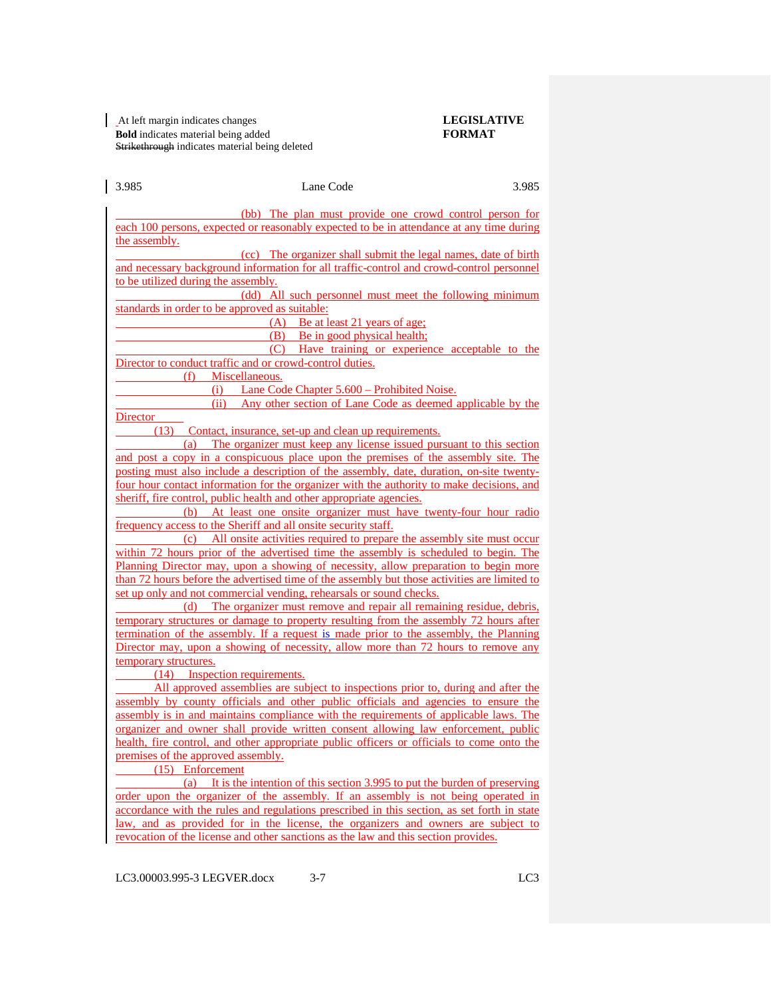#### At left margin indicates changes **LEGISLATIVE Bold** indicates material being added **FORMAT** Strikethrough indicates material being deleted

| 3.985                                                                                                                                                                                 | Lane Code                                                                                                                                                  | 3.985 |  |  |  |
|---------------------------------------------------------------------------------------------------------------------------------------------------------------------------------------|------------------------------------------------------------------------------------------------------------------------------------------------------------|-------|--|--|--|
|                                                                                                                                                                                       |                                                                                                                                                            |       |  |  |  |
|                                                                                                                                                                                       | (bb) The plan must provide one crowd control person for<br>each 100 persons, expected or reasonably expected to be in attendance at any time during        |       |  |  |  |
|                                                                                                                                                                                       |                                                                                                                                                            |       |  |  |  |
| the assembly.                                                                                                                                                                         |                                                                                                                                                            |       |  |  |  |
|                                                                                                                                                                                       | (cc) The organizer shall submit the legal names, date of birth<br>and necessary background information for all traffic-control and crowd-control personnel |       |  |  |  |
| to be utilized during the assembly.                                                                                                                                                   |                                                                                                                                                            |       |  |  |  |
|                                                                                                                                                                                       | (dd) All such personnel must meet the following minimum                                                                                                    |       |  |  |  |
| standards in order to be approved as suitable:                                                                                                                                        |                                                                                                                                                            |       |  |  |  |
|                                                                                                                                                                                       | (A) Be at least 21 years of age:                                                                                                                           |       |  |  |  |
|                                                                                                                                                                                       | (B) Be in good physical health;                                                                                                                            |       |  |  |  |
|                                                                                                                                                                                       | (C) Have training or experience acceptable to the                                                                                                          |       |  |  |  |
|                                                                                                                                                                                       | Director to conduct traffic and or crowd-control duties.                                                                                                   |       |  |  |  |
| (f)                                                                                                                                                                                   | Miscellaneous.                                                                                                                                             |       |  |  |  |
|                                                                                                                                                                                       | (i) Lane Code Chapter 5.600 – Prohibited Noise.                                                                                                            |       |  |  |  |
|                                                                                                                                                                                       | (ii) Any other section of Lane Code as deemed applicable by the                                                                                            |       |  |  |  |
| Director                                                                                                                                                                              |                                                                                                                                                            |       |  |  |  |
| (13)                                                                                                                                                                                  | Contact, insurance, set-up and clean up requirements.                                                                                                      |       |  |  |  |
|                                                                                                                                                                                       | (a) The organizer must keep any license issued pursuant to this section                                                                                    |       |  |  |  |
|                                                                                                                                                                                       | and post a copy in a conspicuous place upon the premises of the assembly site. The                                                                         |       |  |  |  |
|                                                                                                                                                                                       |                                                                                                                                                            |       |  |  |  |
| posting must also include a description of the assembly, date, duration, on-site twenty-<br>four hour contact information for the organizer with the authority to make decisions, and |                                                                                                                                                            |       |  |  |  |
|                                                                                                                                                                                       |                                                                                                                                                            |       |  |  |  |
| sheriff, fire control, public health and other appropriate agencies.<br>At least one onsite organizer must have twenty-four hour radio<br>(b)                                         |                                                                                                                                                            |       |  |  |  |
|                                                                                                                                                                                       | frequency access to the Sheriff and all onsite security staff.                                                                                             |       |  |  |  |
|                                                                                                                                                                                       | (c) All onsite activities required to prepare the assembly site must occur                                                                                 |       |  |  |  |
|                                                                                                                                                                                       |                                                                                                                                                            |       |  |  |  |
| within 72 hours prior of the advertised time the assembly is scheduled to begin. The<br>Planning Director may, upon a showing of necessity, allow preparation to begin more           |                                                                                                                                                            |       |  |  |  |
|                                                                                                                                                                                       | than 72 hours before the advertised time of the assembly but those activities are limited to                                                               |       |  |  |  |
|                                                                                                                                                                                       | set up only and not commercial vending, rehearsals or sound checks.                                                                                        |       |  |  |  |
|                                                                                                                                                                                       | (d) The organizer must remove and repair all remaining residue, debris,                                                                                    |       |  |  |  |
|                                                                                                                                                                                       | temporary structures or damage to property resulting from the assembly 72 hours after                                                                      |       |  |  |  |
|                                                                                                                                                                                       | termination of the assembly. If a request is made prior to the assembly, the Planning                                                                      |       |  |  |  |
|                                                                                                                                                                                       | Director may, upon a showing of necessity, allow more than 72 hours to remove any                                                                          |       |  |  |  |
| temporary structures.                                                                                                                                                                 |                                                                                                                                                            |       |  |  |  |
| (14) Inspection requirements.                                                                                                                                                         |                                                                                                                                                            |       |  |  |  |
|                                                                                                                                                                                       | All approved assemblies are subject to inspections prior to, during and after the                                                                          |       |  |  |  |
|                                                                                                                                                                                       | assembly by county officials and other public officials and agencies to ensure the                                                                         |       |  |  |  |
|                                                                                                                                                                                       | assembly is in and maintains compliance with the requirements of applicable laws. The                                                                      |       |  |  |  |
|                                                                                                                                                                                       | organizer and owner shall provide written consent allowing law enforcement, public                                                                         |       |  |  |  |
|                                                                                                                                                                                       | health, fire control, and other appropriate public officers or officials to come onto the                                                                  |       |  |  |  |
| premises of the approved assembly.                                                                                                                                                    |                                                                                                                                                            |       |  |  |  |
| (15) Enforcement                                                                                                                                                                      |                                                                                                                                                            |       |  |  |  |
|                                                                                                                                                                                       | (a) It is the intention of this section 3.995 to put the burden of preserving                                                                              |       |  |  |  |
| order upon the organizer of the assembly. If an assembly is not being operated in                                                                                                     |                                                                                                                                                            |       |  |  |  |
| accordance with the rules and regulations prescribed in this section, as set forth in state                                                                                           |                                                                                                                                                            |       |  |  |  |
| law, and as provided for in the license, the organizers and owners are subject to                                                                                                     |                                                                                                                                                            |       |  |  |  |
|                                                                                                                                                                                       | revocation of the license and other sanctions as the law and this section provides.                                                                        |       |  |  |  |

LC3.00003.995-3 LEGVER.docx 3-7 LC3